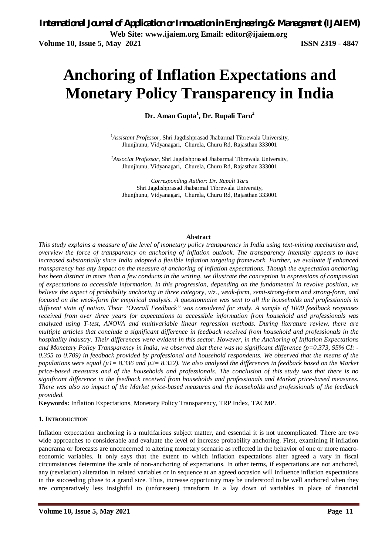# **Anchoring of Inflation Expectations and Monetary Policy Transparency in India**

**Dr. Aman Gupta<sup>1</sup> , Dr. Rupali Taru<sup>2</sup>**

<sup>1</sup>*Assistant Professor,* Shri Jagdishprasad Jhabarmal Tibrewala University, Jhunjhunu, Vidyanagari, Churela, Churu Rd, Rajasthan 333001

<sup>2</sup>*Associat Professor,* Shri Jagdishprasad Jhabarmal Tibrewala University, Jhunjhunu, Vidyanagari, Churela, Churu Rd, Rajasthan 333001

*Corresponding Author: Dr. Rupali Taru*  Shri Jagdishprasad Jhabarmal Tibrewala University, Jhunjhunu, Vidyanagari, Churela, Churu Rd, Rajasthan 333001

#### **Abstract**

*This study explains a measure of the level of monetary policy transparency in India using text-mining mechanism and, overview the force of transparency on anchoring of inflation outlook. The transparency intensity appears to have increased substantially since India adopted a flexible inflation targeting framework. Further, we evaluate if enhanced transparency has any impact on the measure of anchoring of inflation expectations. Though the expectation anchoring has been distinct in more than a few conducts in the writing, we illustrate the conception in expressions of compassion of expectations to accessible information. In this progression, depending on the fundamental in revolve position, we believe the aspect of probability anchoring in three category, viz., weak-form, semi-strong-form and strong-form, and focused on the weak-form for empirical analysis. A questionnaire was sent to all the households and professionals in different state of nation. Their "Overall Feedback" was considered for study. A sample of 1000 feedback responses received from over three years for expectations to accessible information from household and professionals was analyzed using T-test, ANOVA and multivariable linear regression methods. During literature review, there are multiple articles that conclude a significant difference in feedback received from household and professionals in the hospitality industry. Their differences were evident in this sector. However, in the Anchoring of Inflation Expectations and Monetary Policy Transparency in India, we observed that there was no significant difference (p=0.373, 95% CI: - 0.355 to 0.709) in feedback provided by professional and household respondents. We observed that the means of the populations were equal (µ1= 8.336 and µ2= 8.322). We also analyzed the differences in feedback based on the Market price-based measures and of the households and professionals. The conclusion of this study was that there is no significant difference in the feedback received from households and professionals and Market price-based measures. There was also no impact of the Market price-based measures and the households and professionals of the feedback provided.* 

**Keywords:** Inflation Expectations, Monetary Policy Transparency, TRP Index, TACMP.

#### **1. INTRODUCTION**

Inflation expectation anchoring is a multifarious subject matter, and essential it is not uncomplicated. There are two wide approaches to considerable and evaluate the level of increase probability anchoring. First, examining if inflation panorama or forecasts are unconcerned to altering monetary scenario as reflected in the behavior of one or more macroeconomic variables. It only says that the extent to which inflation expectations alter agreed a vary in fiscal circumstances determine the scale of non-anchoring of expectations. In other terms, if expectations are not anchored, any (revelation) alteration in related variables or in sequence at an agreed occasion will influence inflation expectations in the succeeding phase to a grand size. Thus, increase opportunity may be understood to be well anchored when they are comparatively less insightful to (unforeseen) transform in a lay down of variables in place of financial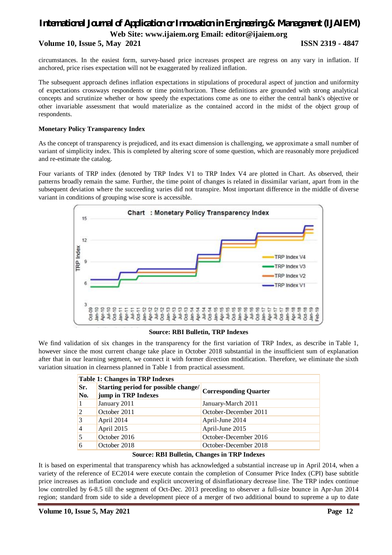**Volume 10, Issue 5, May 2021 ISSN 2319 - 4847**

circumstances. In the easiest form, survey-based price increases prospect are regress on any vary in inflation. If anchored, price rises expectation will not be exaggerated by realized inflation.

The subsequent approach defines inflation expectations in stipulations of procedural aspect of junction and uniformity of expectations crossways respondents or time point/horizon. These definitions are grounded with strong analytical concepts and scrutinize whether or how speedy the expectations come as one to either the central bank's objective or other invariable assessment that would materialize as the contained accord in the midst of the object group of respondents.

#### **Monetary Policy Transparency Index**

As the concept of transparency is prejudiced, and its exact dimension is challenging, we approximate a small number of variant of simplicity index. This is completed by altering score of some question, which are reasonably more prejudiced and re-estimate the catalog.

Four variants of TRP index (denoted by TRP Index V1 to TRP Index V4 are plotted in Chart. As observed, their patterns broadly remain the same. Further, the time point of changes is related in dissimilar variant, apart from in the subsequent deviation where the succeeding varies did not transpire. Most important difference in the middle of diverse variant in conditions of grouping wise score is accessible.



#### **Source: RBI Bulletin, TRP Indexes**

We find validation of six changes in the transparency for the first variation of TRP Index, as describe in Table 1, however since the most current change take place in October 2018 substantial in the insufficient sum of explanation after that in our learning segment, we connect it with former direction modification. Therefore, we eliminate the sixth variation situation in clearness planned in Table 1 from practical assessment.

|            | <b>Table 1: Changes in TRP Indexes</b>                      |                              |  |  |  |  |  |  |
|------------|-------------------------------------------------------------|------------------------------|--|--|--|--|--|--|
| Sr.<br>No. | Starting period for possible change/<br>jump in TRP Indexes | <b>Corresponding Quarter</b> |  |  |  |  |  |  |
|            | January 2011                                                | January-March 2011           |  |  |  |  |  |  |
| 2          | October 2011                                                | October-December 2011        |  |  |  |  |  |  |
| 3          | April 2014                                                  | April-June 2014              |  |  |  |  |  |  |
| 4          | April 2015                                                  | April-June 2015              |  |  |  |  |  |  |
|            | October 2016                                                | October-December 2016        |  |  |  |  |  |  |
| 6          | October 2018                                                | October-December 2018        |  |  |  |  |  |  |

It is based on experimental that transparency whish has acknowledged a substantial increase up in April 2014, when a variety of the reference of EC2014 were execute contain the completion of Consumer Price Index (CPI) base subtitle price increases as inflation conclude and explicit uncovering of disinflationary decrease line. The TRP index continue low controlled by 6-8.5 till the segment of Oct-Dec. 2013 preceding to observer a full-size bounce in Apr-Jun 2014 region; standard from side to side a development piece of a merger of two additional bound to supreme a up to date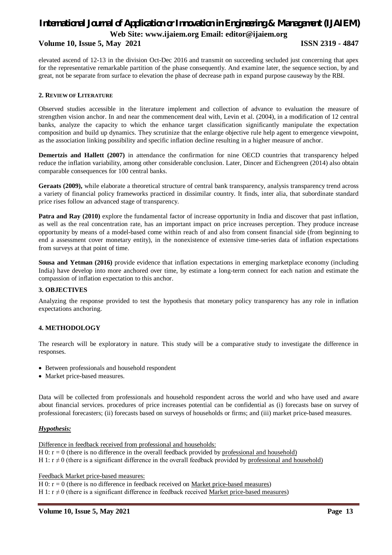#### **Volume 10, Issue 5, May 2021 ISSN 2319 - 4847**

elevated ascend of 12-13 in the division Oct-Dec 2016 and transmit on succeeding secluded just concerning that apex for the representative remarkable partition of the phase consequently. And examine later, the sequence section, by and great, not be separate from surface to elevation the phase of decrease path in expand purpose causeway by the RBI.

#### **2. REVIEW OF LITERATURE**

Observed studies accessible in the literature implement and collection of advance to evaluation the measure of strengthen vision anchor. In and near the commencement deal with, Levin et al. (2004), in a modification of 12 central banks, analyze the capacity to which the enhance target classification significantly manipulate the expectation composition and build up dynamics. They scrutinize that the enlarge objective rule help agent to emergence viewpoint, as the association linking possibility and specific inflation decline resulting in a higher measure of anchor.

**Demertzis and Hallett (2007)** in attendance the confirmation for nine OECD countries that transparency helped reduce the inflation variability, among other considerable conclusion. Later, Dincer and Eichengreen (2014) also obtain comparable consequences for 100 central banks.

**Geraats (2009),** while elaborate a theoretical structure of central bank transparency, analysis transparency trend across a variety of financial policy frameworks practiced in dissimilar country. It finds, inter alia, that subordinate standard price rises follow an advanced stage of transparency.

**Patra and Ray (2010)** explore the fundamental factor of increase opportunity in India and discover that past inflation, as well as the real concentration rate, has an important impact on price increases perception. They produce increase opportunity by means of a model-based come within reach of and also from consent financial side (from beginning to end a assessment cover monetary entity), in the nonexistence of extensive time-series data of inflation expectations from surveys at that point of time.

**Sousa and Yetman (2016)** provide evidence that inflation expectations in emerging marketplace economy (including India) have develop into more anchored over time, by estimate a long-term connect for each nation and estimate the compassion of inflation expectation to this anchor.

#### **3. OBJECTIVES**

Analyzing the response provided to test the hypothesis that monetary policy transparency has any role in inflation expectations anchoring.

### **4. METHODOLOGY**

The research will be exploratory in nature. This study will be a comparative study to investigate the difference in responses.

- Between professionals and household respondent
- Market price-based measures.

Data will be collected from professionals and household respondent across the world and who have used and aware about financial services. procedures of price increases potential can be confidential as (i) forecasts base on survey of professional forecasters; (ii) forecasts based on surveys of households or firms; and (iii) market price-based measures.

### *Hypothesis:*

Difference in feedback received from professional and households: H 0:  $r = 0$  (there is no difference in the overall feedback provided by professional and household) H 1:  $r \neq 0$  (there is a significant difference in the overall feedback provided by professional and household)

Feedback Market price-based measures:

H 0:  $r = 0$  (there is no difference in feedback received on Market price-based measures)

H 1:  $r \neq 0$  (there is a significant difference in feedback received Market price-based measures)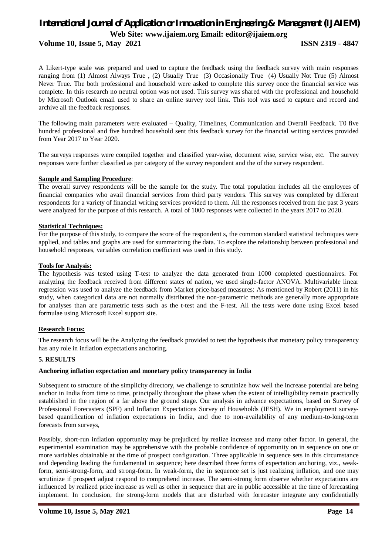**Volume 10, Issue 5, May 2021 ISSN 2319 - 4847**

A Likert-type scale was prepared and used to capture the feedback using the feedback survey with main responses ranging from (1) Almost Always True , (2) Usually True (3) Occasionally True (4) Usually Not True (5) Almost Never True. The both professional and household were asked to complete this survey once the financial service was complete. In this research no neutral option was not used. This survey was shared with the professional and household by Microsoft Outlook email used to share an online survey tool link. This tool was used to capture and record and archive all the feedback responses.

The following main parameters were evaluated – Quality, Timelines, Communication and Overall Feedback. T0 five hundred professional and five hundred household sent this feedback survey for the financial writing services provided from Year 2017 to Year 2020.

The surveys responses were compiled together and classified year-wise, document wise, service wise, etc. The survey responses were further classified as per category of the survey respondent and the of the survey respondent.

#### **Sample and Sampling Procedure**:

The overall survey respondents will be the sample for the study. The total population includes all the employees of financial companies who avail financial services from third party vendors. This survey was completed by different respondents for a variety of financial writing services provided to them. All the responses received from the past 3 years were analyzed for the purpose of this research. A total of 1000 responses were collected in the years 2017 to 2020.

#### **Statistical Techniques:**

For the purpose of this study, to compare the score of the respondent s, the common standard statistical techniques were applied, and tables and graphs are used for summarizing the data. To explore the relationship between professional and household responses, variables correlation coefficient was used in this study.

#### **Tools for Analysis:**

The hypothesis was tested using T-test to analyze the data generated from 1000 completed questionnaires. For analyzing the feedback received from different states of nation, we used single-factor ANOVA. Multivariable linear regression was used to analyze the feedback from Market price-based measures: As mentioned by Robert (2011) in his study, when categorical data are not normally distributed the non-parametric methods are generally more appropriate for analyses than are parametric tests such as the t-test and the F-test. All the tests were done using Excel based formulae using Microsoft Excel support site.

#### **Research Focus:**

The research focus will be the Analyzing the feedback provided to test the hypothesis that monetary policy transparency has any role in inflation expectations anchoring.

#### **5. RESULTS**

#### **Anchoring inflation expectation and monetary policy transparency in India**

Subsequent to structure of the simplicity directory, we challenge to scrutinize how well the increase potential are being anchor in India from time to time, principally throughout the phase when the extent of intelligibility remain practically established in the region of a far above the ground stage. Our analysis in advance expectations, based on Survey of Professional Forecasters (SPF) and Inflation Expectations Survey of Households (IESH). We in employment surveybased quantification of inflation expectations in India, and due to non-availability of any medium-to-long-term forecasts from surveys,

Possibly, short-run inflation opportunity may be prejudiced by realize increase and many other factor. In general, the experimental examination may be apprehensive with the probable confidence of opportunity on in sequence on one or more variables obtainable at the time of prospect configuration. Three applicable in sequence sets in this circumstance and depending leading the fundamental in sequence; here described three forms of expectation anchoring, viz., weakform, semi-strong-form, and strong-form. In weak-form, the in sequence set is just realizing inflation, and one may scrutinize if prospect adjust respond to comprehend increase. The semi-strong form observe whether expectations are influenced by realized price increase as well as other in sequence that are in public accessible at the time of forecasting implement. In conclusion, the strong-form models that are disturbed with forecaster integrate any confidentially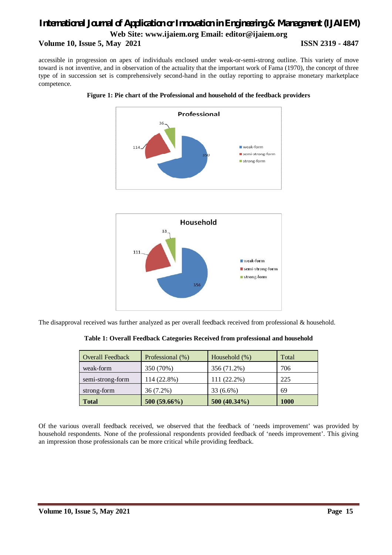**Volume 10, Issue 5, May 2021 ISSN 2319 - 4847**

accessible in progression on apex of individuals enclosed under weak-or-semi-strong outline. This variety of move toward is not inventive, and in observation of the actuality that the important work of Fama (1970), the concept of three type of in succession set is comprehensively second-hand in the outlay reporting to appraise monetary marketplace competence.







The disapproval received was further analyzed as per overall feedback received from professional & household.

|  |  |  |  | Table 1: Overall Feedback Categories Received from professional and household |  |  |
|--|--|--|--|-------------------------------------------------------------------------------|--|--|
|  |  |  |  |                                                                               |  |  |

| <b>Overall Feedback</b> | Professional (%) | Household $(\%)$ | Total       |
|-------------------------|------------------|------------------|-------------|
| weak-form               | 350 (70%)        | 356 (71.2%)      | 706         |
| semi-strong-form        | 114 (22.8%)      | 111 (22.2%)      | 225         |
| strong-form             | $36(7.2\%)$      | 33 (6.6%)        | 69          |
| <b>Total</b>            | $500(59.66\%)$   | 500 (40.34%)     | <b>1000</b> |

Of the various overall feedback received, we observed that the feedback of 'needs improvement' was provided by household respondents. None of the professional respondents provided feedback of 'needs improvement'. This giving an impression those professionals can be more critical while providing feedback.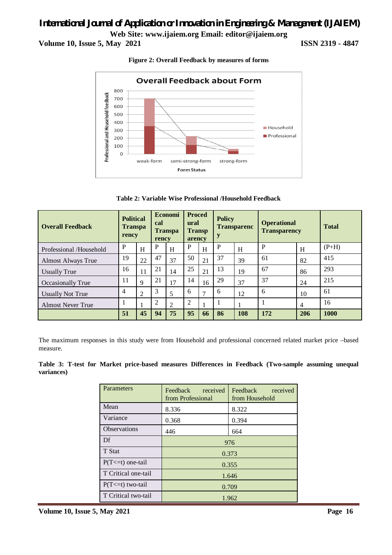**Volume 10, Issue 5, May 2021 ISSN 2319 - 4847**



**Figure 2: Overall Feedback by measures of forms**

**Table 2: Variable Wise Professional /Household Feedback**

| <b>Overall Feedback</b>   | <b>Political</b><br><b>Transpa</b><br>rency |    | <b>Proced</b><br><b>Economi</b><br>ural<br>cal<br><b>Transpa</b><br><b>Transp</b><br>arency<br>rency |    |                | <b>Policy</b><br><b>Transparenc</b> |    | <b>Operational</b><br><b>Transparency</b> |     | <b>Total</b> |         |
|---------------------------|---------------------------------------------|----|------------------------------------------------------------------------------------------------------|----|----------------|-------------------------------------|----|-------------------------------------------|-----|--------------|---------|
| Professional /Household   | P                                           | H  | P                                                                                                    | H  | P              | H                                   | P  | H                                         | P   | H            | $(P+H)$ |
| <b>Almost Always True</b> | 19                                          | 22 | 47                                                                                                   | 37 | 50             | 21                                  | 37 | 39                                        | 61  | 82           | 415     |
| <b>Usually True</b>       | 16                                          | 11 | 21                                                                                                   | 14 | 25             | 21                                  | 13 | 19                                        | 67  | 86           | 293     |
| Occasionally True         | 11                                          | 9  | 21                                                                                                   | 17 | 14             | 16                                  | 29 | 37                                        | 37  | 24           | 215     |
| <b>Usually Not True</b>   | 4                                           | 2  | 3                                                                                                    | 5  | 6              | 7                                   | 6  | 12                                        | 6   | 10           | 61      |
| <b>Almost Never True</b>  |                                             |    | $\overline{2}$                                                                                       | 2  | $\overline{2}$ |                                     |    |                                           |     | 4            | 16      |
|                           | 51                                          | 45 | 94                                                                                                   | 75 | 95             | 66                                  | 86 | 108                                       | 172 | 206          | 1000    |

The maximum responses in this study were from Household and professional concerned related market price –based measure.

**Table 3: T-test for Market price-based measures Differences in Feedback (Two-sample assuming unequal variances)**

| Parameters            | Feedback<br>Feedback<br>received<br>received<br>from Professional<br>from Household |       |  |  |  |  |  |
|-----------------------|-------------------------------------------------------------------------------------|-------|--|--|--|--|--|
| Mean                  | 8.322<br>8.336                                                                      |       |  |  |  |  |  |
| Variance              | 0.394<br>0.368                                                                      |       |  |  |  |  |  |
| <b>Observations</b>   | 446<br>664                                                                          |       |  |  |  |  |  |
| Df                    | 976                                                                                 |       |  |  |  |  |  |
| T Stat                | 0.373                                                                               |       |  |  |  |  |  |
| $P(T \le t)$ one-tail | 0.355                                                                               |       |  |  |  |  |  |
| T Critical one-tail   | 1.646                                                                               |       |  |  |  |  |  |
| $P(T \le t)$ two-tail | 0.709                                                                               |       |  |  |  |  |  |
| T Critical two-tail   |                                                                                     | 1.962 |  |  |  |  |  |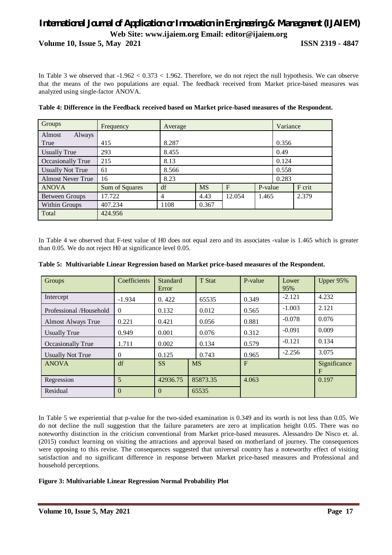**Volume 10, Issue 5, May 2021 ISSN 2319 - 4847**

In Table 3 we observed that  $-1.962 < 0.373 < 1.962$ . Therefore, we do not reject the null hypothesis. We can observe that the means of the two populations are equal. The feedback received from Market price-based measures was analyzed using single-factor ANOVA.

| Groups                   | Frequency      | Average |           |        |         | Variance |        |  |  |
|--------------------------|----------------|---------|-----------|--------|---------|----------|--------|--|--|
| Almost<br>Always         |                |         |           |        |         |          |        |  |  |
| True                     | 415            | 8.287   |           |        |         | 0.356    |        |  |  |
| <b>Usually True</b>      | 293            | 8.455   |           |        |         |          | 0.49   |  |  |
| Occasionally True        | 215            | 8.13    |           |        |         |          | 0.124  |  |  |
| <b>Usually Not True</b>  | 61             | 8.566   |           |        |         |          | 0.558  |  |  |
| <b>Almost Never True</b> | 16             | 8.23    |           |        |         |          | 0.283  |  |  |
| <b>ANOVA</b>             | Sum of Squares | df      | <b>MS</b> | F      | P-value |          | F crit |  |  |
| Between Groups           | 17.722         | 4       | 4.43      | 12.054 | 1.465   |          | 2.379  |  |  |
| Within Groups            | 407.234        | 1108    | 0.367     |        |         |          |        |  |  |
| Total                    | 424.956        |         |           |        |         |          |        |  |  |

#### **Table 4: Difference in the Feedback received based on Market price-based measures of the Respondent.**

In Table 4 we observed that F-test value of H0 does not equal zero and its associates -value is 1.465 which is greater than 0.05. We do not reject H0 at significance level 0.05.

| <b>Groups</b>             | Coefficients | Standard<br>Error | T Stat    | P-value      | Lower<br>95% | Upper 95%                 |
|---------------------------|--------------|-------------------|-----------|--------------|--------------|---------------------------|
| Intercept                 | $-1.934$     | 0.422             | 65535     | 0.349        | $-2.121$     | 4.232                     |
| Professional /Household   | $\Omega$     | 0.132             | 0.012     | 0.565        | $-1.003$     | 2.121                     |
| <b>Almost Always True</b> | 0.221        | 0.421             | 0.056     | 0.881        | $-0.078$     | 0.076                     |
| <b>Usually True</b>       | 0.949        | 0.001             | 0.076     | 0.312        | $-0.091$     | 0.009                     |
| Occasionally True         | 1.711        | 0.002             | 0.134     | 0.579        | $-0.121$     | 0.134                     |
| <b>Usually Not True</b>   | $\Omega$     | 0.125             | 0.743     | 0.965        | $-2.256$     | 3.075                     |
| <b>ANOVA</b>              | df           | <b>SS</b>         | <b>MS</b> | $\mathbf{F}$ |              | Significance<br>$F_{\rm}$ |
| Regression                | 5            | 42936.75          | 85873.35  | 4.063        |              | 0.197                     |
| Residual                  | $\Omega$     | $\Omega$          | 65535     |              |              |                           |

| Table 5: Multivariable Linear Regression based on Market price-based measures of the Respondent. |  |  |  |  |  |
|--------------------------------------------------------------------------------------------------|--|--|--|--|--|
|--------------------------------------------------------------------------------------------------|--|--|--|--|--|

In Table 5 we experiential that p-value for the two-sided examination is 0.349 and its worth is not less than 0.05. We do not decline the null suggestion that the failure parameters are zero at implication height 0.05. There was no noteworthy distinction in the criticism conventional from Market price-based measures. Alessandro De Nisco et. al. (2015) conduct learning on visiting the attractions and approval based on motherland of journey. The consequences were opposing to this revise. The consequences suggested that universal country has a noteworthy effect of visiting satisfaction and no significant difference in response between Market price-based measures and Professional and household perceptions.

#### **Figure 3: Multivariable Linear Regression Normal Probability Plot**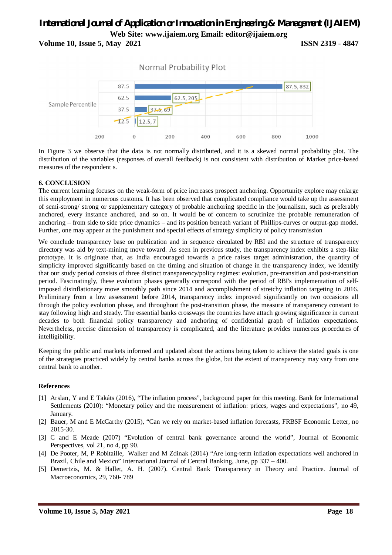**Volume 10, Issue 5, May 2021 ISSN 2319 - 4847**





In Figure 3 we observe that the data is not normally distributed, and it is a skewed normal probability plot. The distribution of the variables (responses of overall feedback) is not consistent with distribution of Market price-based measures of the respondent s.

#### **6. CONCLUSION**

The current learning focuses on the weak-form of price increases prospect anchoring. Opportunity explore may enlarge this employment in numerous customs. It has been observed that complicated compliance would take up the assessment of semi-strong/ strong or supplementary category of probable anchoring specific in the journalism, such as preferably anchored, every instance anchored, and so on. It would be of concern to scrutinize the probable remuneration of anchoring – from side to side price dynamics – and its position beneath variant of Phillips-curves or output-gap model. Further, one may appear at the punishment and special effects of strategy simplicity of policy transmission

We conclude transparency base on publication and in sequence circulated by RBI and the structure of transparency directory was aid by text-mining move toward. As seen in previous study, the transparency index exhibits a step-like prototype. It is originate that, as India encouraged towards a price raises target administration, the quantity of simplicity improved significantly based on the timing and situation of change in the transparency index, we identify that our study period consists of three distinct transparency/policy regimes: evolution, pre-transition and post-transition period. Fascinatingly, these evolution phases generally correspond with the period of RBI's implementation of selfimposed disinflationary move smoothly path since 2014 and accomplishment of stretchy inflation targeting in 2016. Preliminary from a low assessment before 2014, transparency index improved significantly on two occasions all through the policy evolution phase, and throughout the post-transition phase, the measure of transparency constant to stay following high and steady. The essential banks crossways the countries have attach growing significance in current decades to both financial policy transparency and anchoring of confidential graph of inflation expectations. Nevertheless, precise dimension of transparency is complicated, and the literature provides numerous procedures of intelligibility.

Keeping the public and markets informed and updated about the actions being taken to achieve the stated goals is one of the strategies practiced widely by central banks across the globe, but the extent of transparency may vary from one central bank to another.

#### **References**

- [1] Arslan, Y and E Takáts (2016), "The inflation process", background paper for this meeting. Bank for International Settlements (2010): "Monetary policy and the measurement of inflation: prices, wages and expectations", no 49, January.
- [2] Bauer, M and E McCarthy (2015), "Can we rely on market-based inflation forecasts, FRBSF Economic Letter, no 2015-30.
- [3] C and E Meade (2007) "Evolution of central bank governance around the world", Journal of Economic Perspectives, vol 21, no 4, pp 90.
- [4] De Pooter, M, P Robitaille, Walker and M Zdinak (2014) "Are long-term inflation expectations well anchored in Brazil, Chile and Mexico" International Journal of Central Banking, June, pp 337 – 400.
- [5] Demertzis, M. & Hallet, A. H. (2007). Central Bank Transparency in Theory and Practice. Journal of Macroeconomics, 29, 760- 789